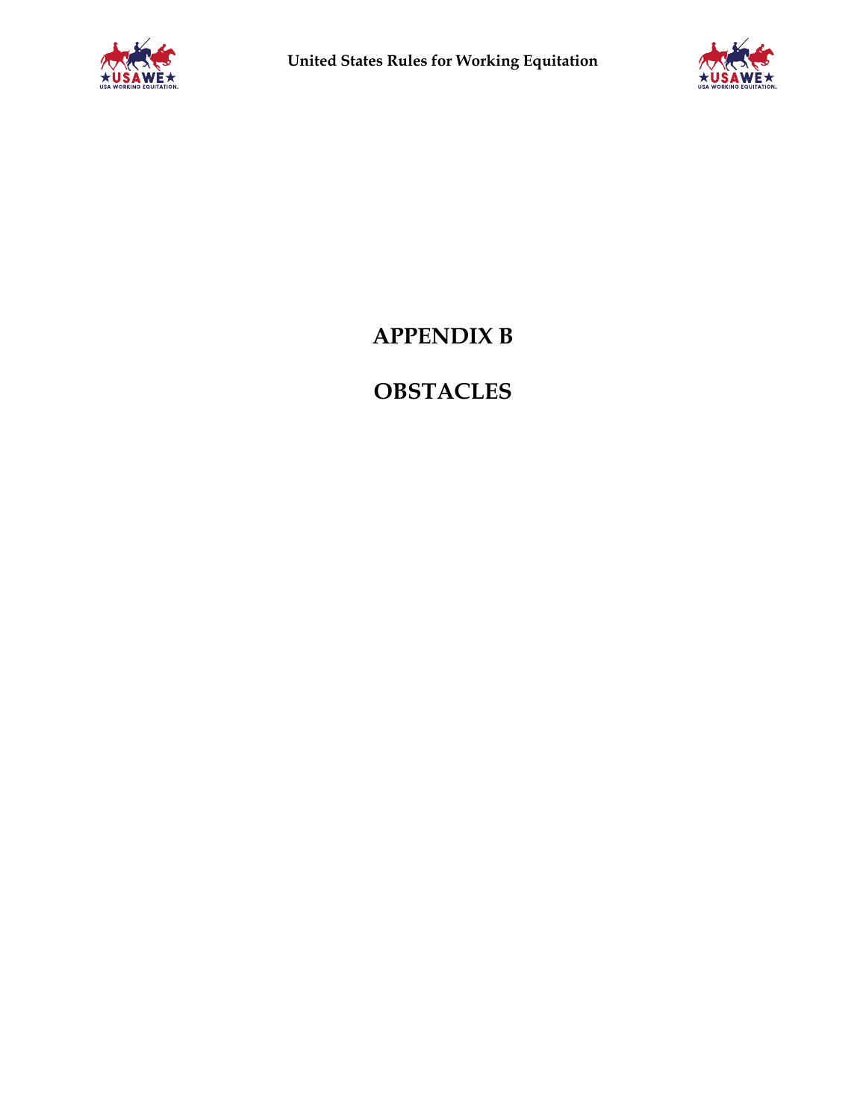



# **APPENDIX B**

# **OBSTACLES**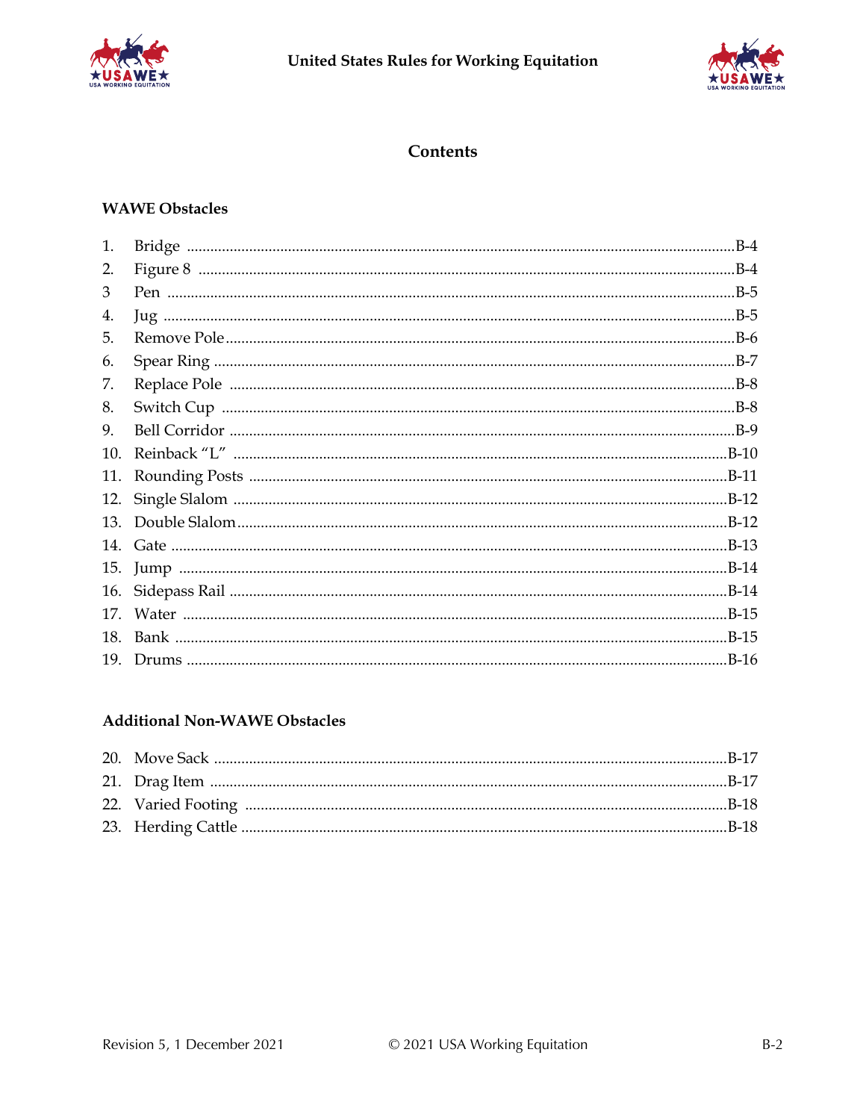



### **Contents**

# **WAWE Obstacles**

| 1.  |  |
|-----|--|
| 2.  |  |
| 3   |  |
| 4.  |  |
| 5.  |  |
| 6.  |  |
| 7.  |  |
| 8.  |  |
| 9.  |  |
| 10. |  |
| 11. |  |
| 12. |  |
| 13. |  |
|     |  |
| 15. |  |
| 16. |  |
| 17. |  |
| 18. |  |
| 19. |  |
|     |  |

## **Additional Non-WAWE Obstacles**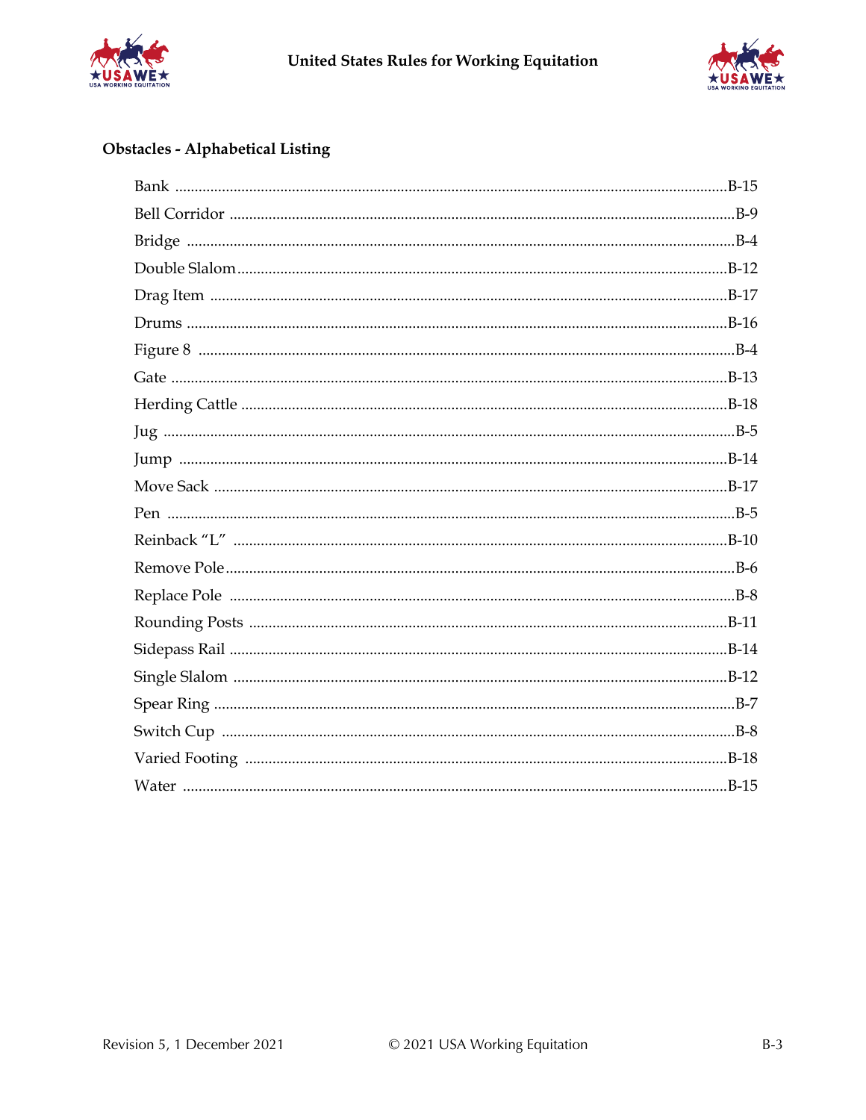



# Obstacles - Alphabetical Listing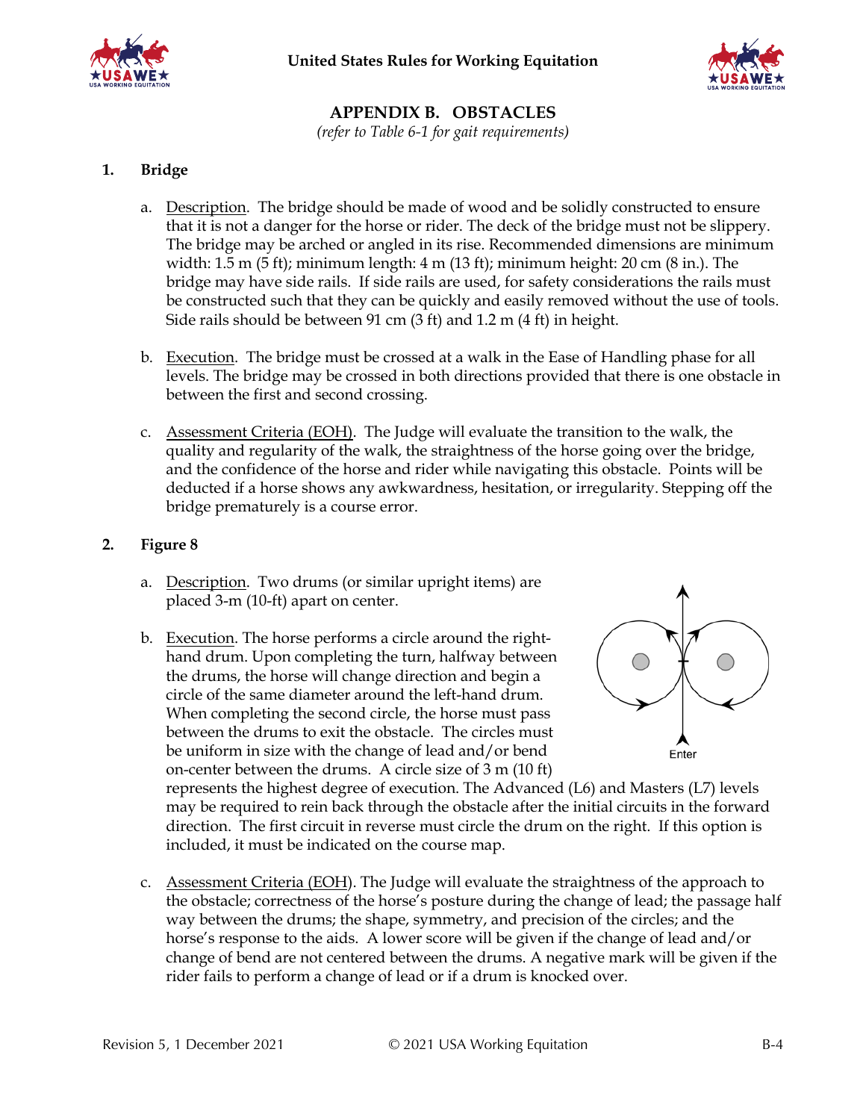



# **APPENDIX B. OBSTACLES**

*(refer to Table 6-1 for gait requirements)*

### **1. Bridge**

- a. Description. The bridge should be made of wood and be solidly constructed to ensure that it is not a danger for the horse or rider. The deck of the bridge must not be slippery. The bridge may be arched or angled in its rise. Recommended dimensions are minimum width:  $1.5$  m  $(5 \text{ ft})$ ; minimum length:  $4$  m  $(13 \text{ ft})$ ; minimum height:  $20 \text{ cm } (8 \text{ in.})$ . The bridge may have side rails. If side rails are used, for safety considerations the rails must be constructed such that they can be quickly and easily removed without the use of tools. Side rails should be between 91 cm (3 ft) and 1.2 m (4 ft) in height.
- b. Execution. The bridge must be crossed at a walk in the Ease of Handling phase for all levels. The bridge may be crossed in both directions provided that there is one obstacle in between the first and second crossing.
- c. Assessment Criteria (EOH). The Judge will evaluate the transition to the walk, the quality and regularity of the walk, the straightness of the horse going over the bridge, and the confidence of the horse and rider while navigating this obstacle. Points will be deducted if a horse shows any awkwardness, hesitation, or irregularity. Stepping off the bridge prematurely is a course error.

### **2. Figure 8**

- a. Description. Two drums (or similar upright items) are placed 3-m (10-ft) apart on center.
- b. Execution. The horse performs a circle around the righthand drum. Upon completing the turn, halfway between the drums, the horse will change direction and begin a circle of the same diameter around the left-hand drum. When completing the second circle, the horse must pass between the drums to exit the obstacle. The circles must be uniform in size with the change of lead and/or bend on-center between the drums. A circle size of 3 m (10 ft)



represents the highest degree of execution. The Advanced (L6) and Masters (L7) levels may be required to rein back through the obstacle after the initial circuits in the forward direction. The first circuit in reverse must circle the drum on the right. If this option is included, it must be indicated on the course map.

c. Assessment Criteria (EOH). The Judge will evaluate the straightness of the approach to the obstacle; correctness of the horse's posture during the change of lead; the passage half way between the drums; the shape, symmetry, and precision of the circles; and the horse's response to the aids. A lower score will be given if the change of lead and/or change of bend are not centered between the drums. A negative mark will be given if the rider fails to perform a change of lead or if a drum is knocked over.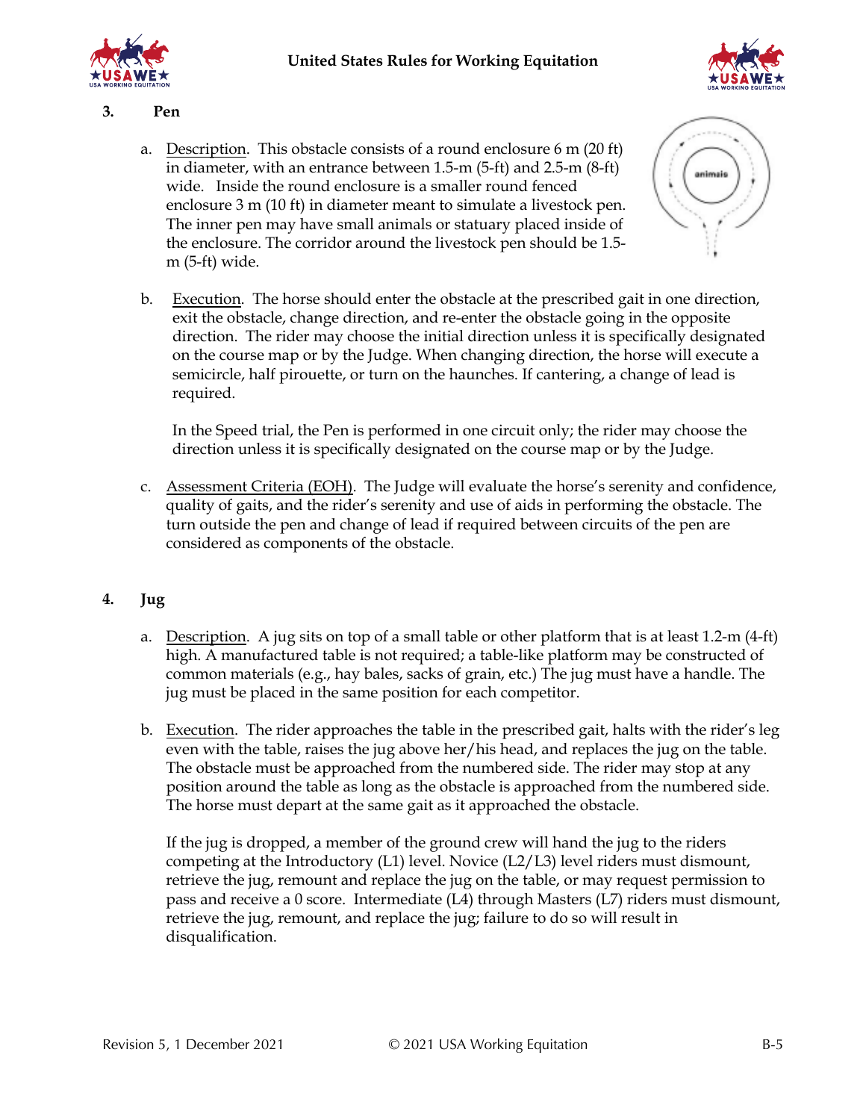

### **3. Pen**

a. Description. This obstacle consists of a round enclosure 6 m (20 ft) in diameter, with an entrance between 1.5-m (5-ft) and 2.5-m (8-ft) wide. Inside the round enclosure is a smaller round fenced enclosure 3 m (10 ft) in diameter meant to simulate a livestock pen. The inner pen may have small animals or statuary placed inside of the enclosure. The corridor around the livestock pen should be 1.5 m (5-ft) wide.



b. Execution. The horse should enter the obstacle at the prescribed gait in one direction, exit the obstacle, change direction, and re-enter the obstacle going in the opposite direction. The rider may choose the initial direction unless it is specifically designated on the course map or by the Judge. When changing direction, the horse will execute a semicircle, half pirouette, or turn on the haunches. If cantering, a change of lead is required.

In the Speed trial, the Pen is performed in one circuit only; the rider may choose the direction unless it is specifically designated on the course map or by the Judge.

c. Assessment Criteria (EOH). The Judge will evaluate the horse's serenity and confidence, quality of gaits, and the rider's serenity and use of aids in performing the obstacle. The turn outside the pen and change of lead if required between circuits of the pen are considered as components of the obstacle.

### **4. Jug**

- a. Description. A jug sits on top of a small table or other platform that is at least 1.2-m (4-ft) high. A manufactured table is not required; a table-like platform may be constructed of common materials (e.g., hay bales, sacks of grain, etc.) The jug must have a handle. The jug must be placed in the same position for each competitor.
- b. Execution. The rider approaches the table in the prescribed gait, halts with the rider's leg even with the table, raises the jug above her/his head, and replaces the jug on the table. The obstacle must be approached from the numbered side. The rider may stop at any position around the table as long as the obstacle is approached from the numbered side. The horse must depart at the same gait as it approached the obstacle.

If the jug is dropped, a member of the ground crew will hand the jug to the riders competing at the Introductory (L1) level. Novice (L2/L3) level riders must dismount, retrieve the jug, remount and replace the jug on the table, or may request permission to pass and receive a 0 score. Intermediate (L4) through Masters (L7) riders must dismount, retrieve the jug, remount, and replace the jug; failure to do so will result in disqualification.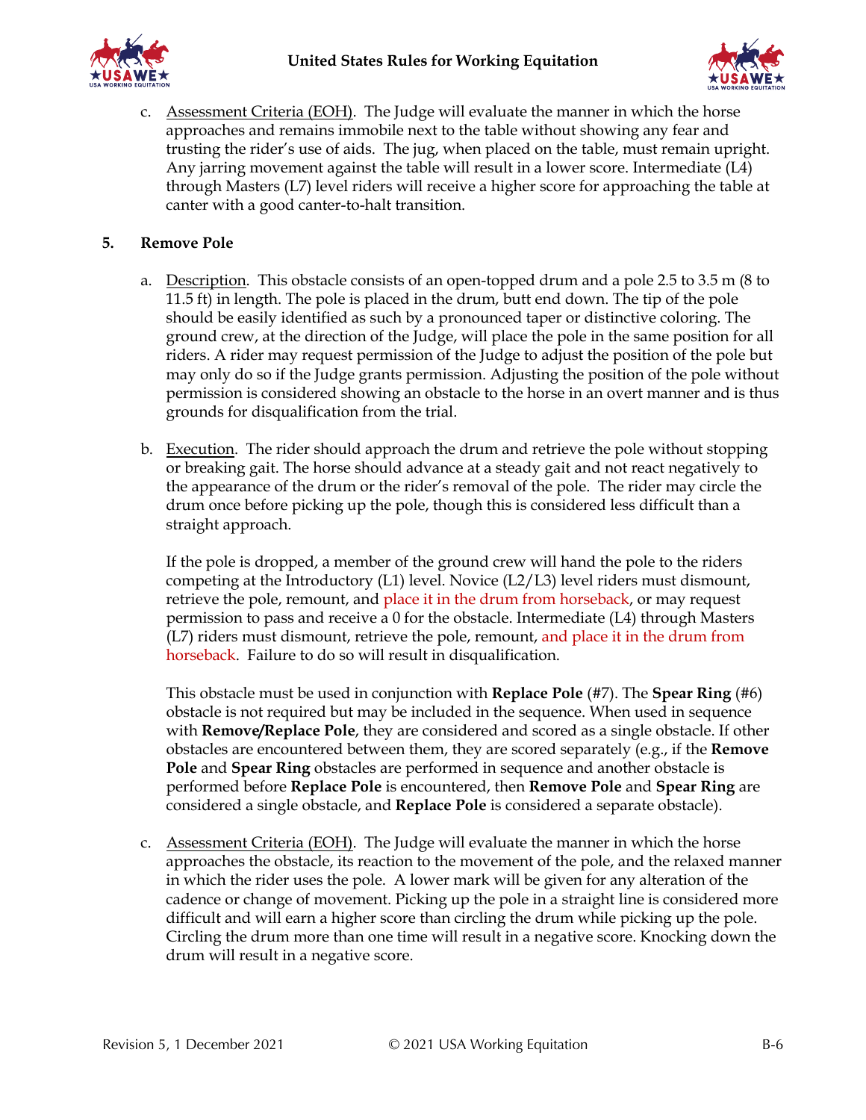

c. Assessment Criteria (EOH). The Judge will evaluate the manner in which the horse approaches and remains immobile next to the table without showing any fear and trusting the rider's use of aids. The jug, when placed on the table, must remain upright. Any jarring movement against the table will result in a lower score. Intermediate (L4) through Masters (L7) level riders will receive a higher score for approaching the table at canter with a good canter-to-halt transition.

### **5. Remove Pole**

- a. Description. This obstacle consists of an open-topped drum and a pole 2.5 to 3.5 m (8 to 11.5 ft) in length. The pole is placed in the drum, butt end down. The tip of the pole should be easily identified as such by a pronounced taper or distinctive coloring. The ground crew, at the direction of the Judge, will place the pole in the same position for all riders. A rider may request permission of the Judge to adjust the position of the pole but may only do so if the Judge grants permission. Adjusting the position of the pole without permission is considered showing an obstacle to the horse in an overt manner and is thus grounds for disqualification from the trial.
- b. Execution. The rider should approach the drum and retrieve the pole without stopping or breaking gait. The horse should advance at a steady gait and not react negatively to the appearance of the drum or the rider's removal of the pole. The rider may circle the drum once before picking up the pole, though this is considered less difficult than a straight approach.

If the pole is dropped, a member of the ground crew will hand the pole to the riders competing at the Introductory (L1) level. Novice (L2/L3) level riders must dismount, retrieve the pole, remount, and place it in the drum from horseback, or may request permission to pass and receive a 0 for the obstacle. Intermediate (L4) through Masters (L7) riders must dismount, retrieve the pole, remount, and place it in the drum from horseback. Failure to do so will result in disqualification.

This obstacle must be used in conjunction with **Replace Pole** (#7). The **Spear Ring** (#6) obstacle is not required but may be included in the sequence. When used in sequence with **Remove/Replace Pole**, they are considered and scored as a single obstacle. If other obstacles are encountered between them, they are scored separately (e.g., if the **Remove Pole** and **Spear Ring** obstacles are performed in sequence and another obstacle is performed before **Replace Pole** is encountered, then **Remove Pole** and **Spear Ring** are considered a single obstacle, and **Replace Pole** is considered a separate obstacle).

c. Assessment Criteria (EOH). The Judge will evaluate the manner in which the horse approaches the obstacle, its reaction to the movement of the pole, and the relaxed manner in which the rider uses the pole. A lower mark will be given for any alteration of the cadence or change of movement. Picking up the pole in a straight line is considered more difficult and will earn a higher score than circling the drum while picking up the pole. Circling the drum more than one time will result in a negative score. Knocking down the drum will result in a negative score.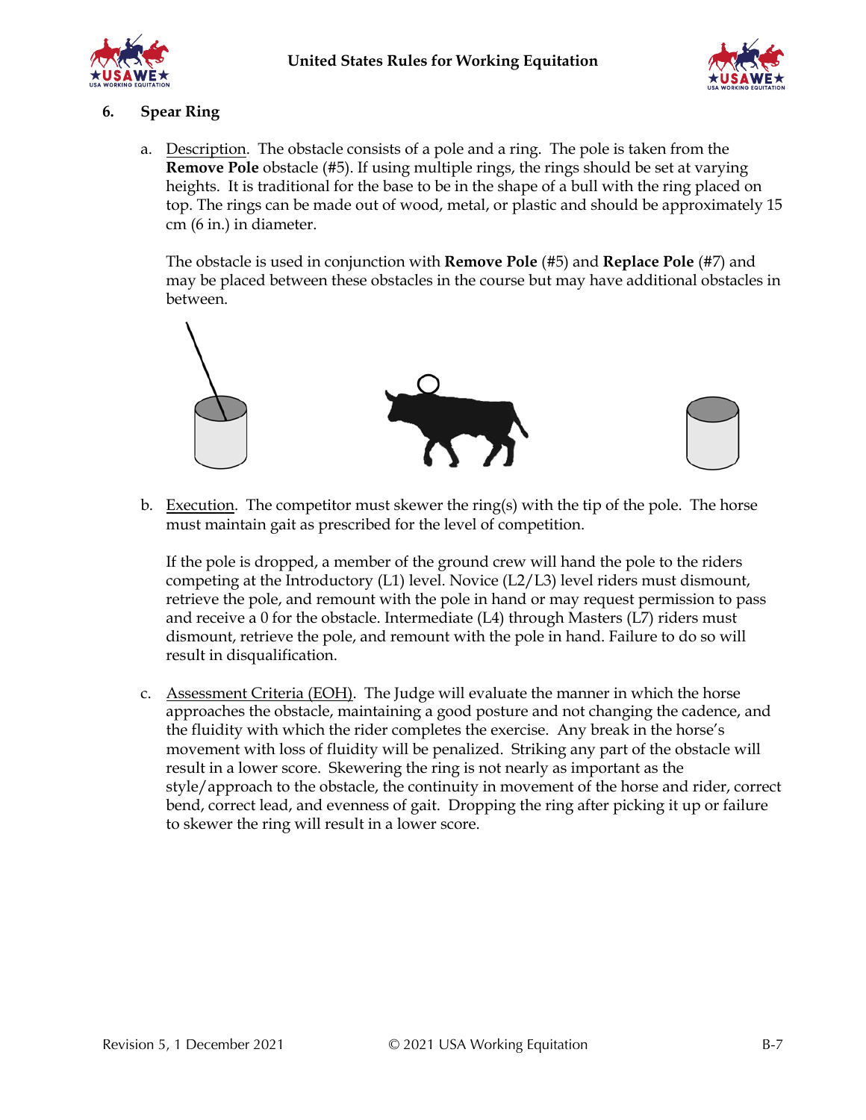



### **6. Spear Ring**

a. Description. The obstacle consists of a pole and a ring. The pole is taken from the **Remove Pole** obstacle (#5). If using multiple rings, the rings should be set at varying heights. It is traditional for the base to be in the shape of a bull with the ring placed on top. The rings can be made out of wood, metal, or plastic and should be approximately 15 cm (6 in.) in diameter.

The obstacle is used in conjunction with **Remove Pole** (#5) and **Replace Pole** (#7) and may be placed between these obstacles in the course but may have additional obstacles in between.



b. Execution. The competitor must skewer the ring(s) with the tip of the pole. The horse must maintain gait as prescribed for the level of competition.

If the pole is dropped, a member of the ground crew will hand the pole to the riders competing at the Introductory (L1) level. Novice (L2/L3) level riders must dismount, retrieve the pole, and remount with the pole in hand or may request permission to pass and receive a 0 for the obstacle. Intermediate (L4) through Masters (L7) riders must dismount, retrieve the pole, and remount with the pole in hand. Failure to do so will result in disqualification.

c. Assessment Criteria (EOH). The Judge will evaluate the manner in which the horse approaches the obstacle, maintaining a good posture and not changing the cadence, and the fluidity with which the rider completes the exercise. Any break in the horse's movement with loss of fluidity will be penalized. Striking any part of the obstacle will result in a lower score. Skewering the ring is not nearly as important as the style/approach to the obstacle, the continuity in movement of the horse and rider, correct bend, correct lead, and evenness of gait. Dropping the ring after picking it up or failure to skewer the ring will result in a lower score.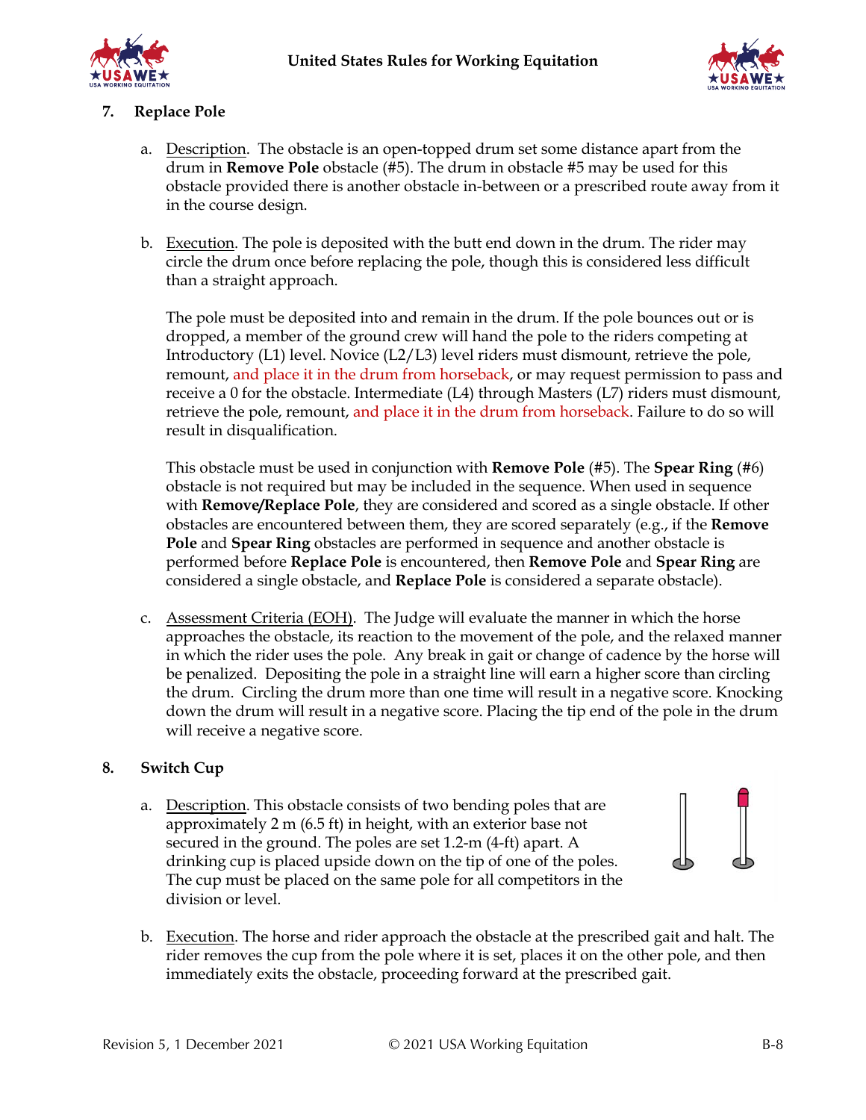



### **7. Replace Pole**

- a. Description. The obstacle is an open-topped drum set some distance apart from the drum in **Remove Pole** obstacle (#5). The drum in obstacle #5 may be used for this obstacle provided there is another obstacle in-between or a prescribed route away from it in the course design.
- b. Execution. The pole is deposited with the butt end down in the drum. The rider may circle the drum once before replacing the pole, though this is considered less difficult than a straight approach.

The pole must be deposited into and remain in the drum. If the pole bounces out or is dropped, a member of the ground crew will hand the pole to the riders competing at Introductory (L1) level. Novice (L2/L3) level riders must dismount, retrieve the pole, remount, and place it in the drum from horseback, or may request permission to pass and receive a 0 for the obstacle. Intermediate (L4) through Masters (L7) riders must dismount, retrieve the pole, remount, and place it in the drum from horseback. Failure to do so will result in disqualification.

This obstacle must be used in conjunction with **Remove Pole** (#5). The **Spear Ring** (#6) obstacle is not required but may be included in the sequence. When used in sequence with **Remove/Replace Pole**, they are considered and scored as a single obstacle. If other obstacles are encountered between them, they are scored separately (e.g., if the **Remove Pole** and **Spear Ring** obstacles are performed in sequence and another obstacle is performed before **Replace Pole** is encountered, then **Remove Pole** and **Spear Ring** are considered a single obstacle, and **Replace Pole** is considered a separate obstacle).

c. Assessment Criteria (EOH). The Judge will evaluate the manner in which the horse approaches the obstacle, its reaction to the movement of the pole, and the relaxed manner in which the rider uses the pole. Any break in gait or change of cadence by the horse will be penalized. Depositing the pole in a straight line will earn a higher score than circling the drum. Circling the drum more than one time will result in a negative score. Knocking down the drum will result in a negative score. Placing the tip end of the pole in the drum will receive a negative score.

### **8. Switch Cup**

- a. Description. This obstacle consists of two bending poles that are approximately 2 m (6.5 ft) in height, with an exterior base not secured in the ground. The poles are set 1.2-m (4-ft) apart. A drinking cup is placed upside down on the tip of one of the poles. The cup must be placed on the same pole for all competitors in the division or level.
- b. Execution. The horse and rider approach the obstacle at the prescribed gait and halt. The rider removes the cup from the pole where it is set, places it on the other pole, and then immediately exits the obstacle, proceeding forward at the prescribed gait.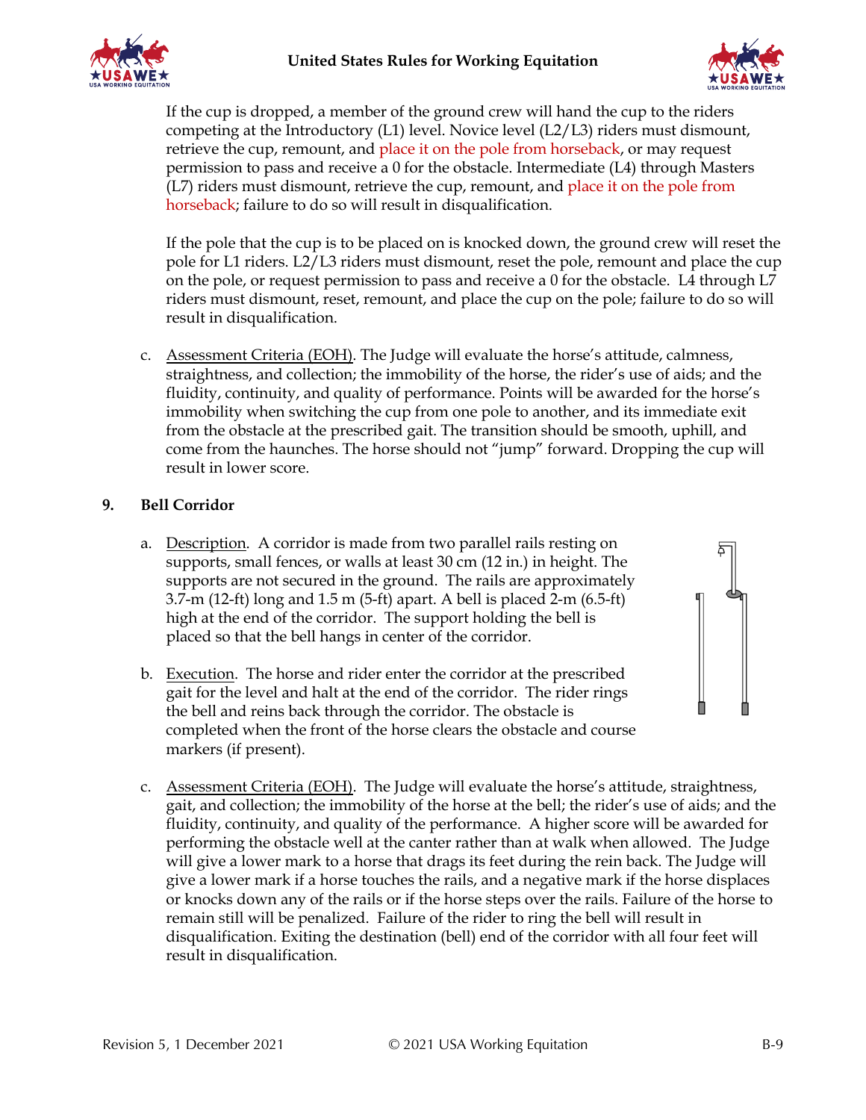



If the cup is dropped, a member of the ground crew will hand the cup to the riders competing at the Introductory (L1) level. Novice level (L2/L3) riders must dismount, retrieve the cup, remount, and place it on the pole from horseback, or may request permission to pass and receive a 0 for the obstacle. Intermediate (L4) through Masters (L7) riders must dismount, retrieve the cup, remount, and place it on the pole from horseback; failure to do so will result in disqualification.

If the pole that the cup is to be placed on is knocked down, the ground crew will reset the pole for L1 riders. L2/L3 riders must dismount, reset the pole, remount and place the cup on the pole, or request permission to pass and receive a 0 for the obstacle. L4 through L7 riders must dismount, reset, remount, and place the cup on the pole; failure to do so will result in disqualification.

c. Assessment Criteria (EOH). The Judge will evaluate the horse's attitude, calmness, straightness, and collection; the immobility of the horse, the rider's use of aids; and the fluidity, continuity, and quality of performance. Points will be awarded for the horse's immobility when switching the cup from one pole to another, and its immediate exit from the obstacle at the prescribed gait. The transition should be smooth, uphill, and come from the haunches. The horse should not "jump" forward. Dropping the cup will result in lower score.

### **9. Bell Corridor**

- a. Description. A corridor is made from two parallel rails resting on supports, small fences, or walls at least 30 cm (12 in.) in height. The supports are not secured in the ground. The rails are approximately 3.7-m (12-ft) long and 1.5 m (5-ft) apart. A bell is placed 2-m (6.5-ft) high at the end of the corridor. The support holding the bell is placed so that the bell hangs in center of the corridor.
- b. Execution. The horse and rider enter the corridor at the prescribed gait for the level and halt at the end of the corridor. The rider rings the bell and reins back through the corridor. The obstacle is completed when the front of the horse clears the obstacle and course markers (if present).
- c. Assessment Criteria (EOH). The Judge will evaluate the horse's attitude, straightness, gait, and collection; the immobility of the horse at the bell; the rider's use of aids; and the fluidity, continuity, and quality of the performance. A higher score will be awarded for performing the obstacle well at the canter rather than at walk when allowed. The Judge will give a lower mark to a horse that drags its feet during the rein back. The Judge will give a lower mark if a horse touches the rails, and a negative mark if the horse displaces or knocks down any of the rails or if the horse steps over the rails. Failure of the horse to remain still will be penalized. Failure of the rider to ring the bell will result in disqualification. Exiting the destination (bell) end of the corridor with all four feet will result in disqualification.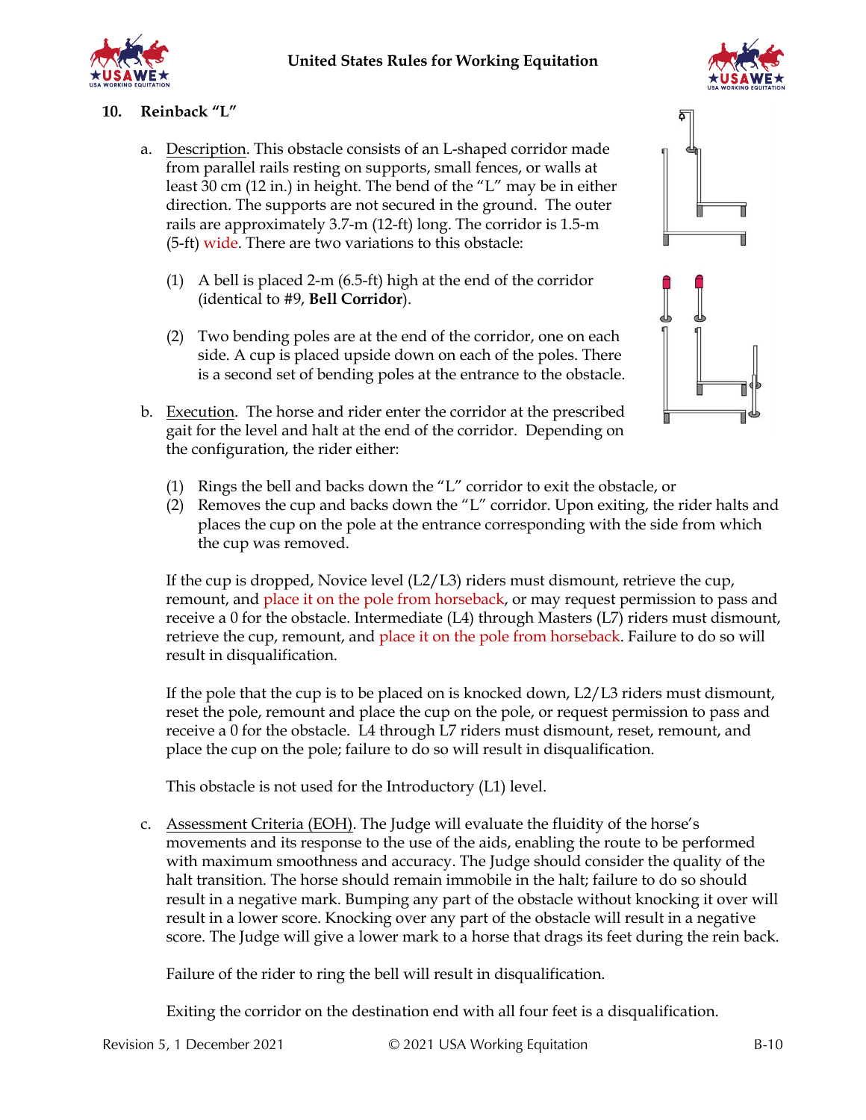## **United States Rules for Working Equitation**



### **10. Reinback "L"**

- a. Description. This obstacle consists of an L-shaped corridor made from parallel rails resting on supports, small fences, or walls at least 30 cm (12 in.) in height. The bend of the "L" may be in either direction. The supports are not secured in the ground. The outer rails are approximately 3.7-m (12-ft) long. The corridor is 1.5-m (5-ft) wide. There are two variations to this obstacle:
	- (1) A bell is placed 2-m (6.5-ft) high at the end of the corridor (identical to #9, **Bell Corridor**).
	- (2) Two bending poles are at the end of the corridor, one on each side. A cup is placed upside down on each of the poles. There is a second set of bending poles at the entrance to the obstacle.
- b. Execution. The horse and rider enter the corridor at the prescribed gait for the level and halt at the end of the corridor. Depending on the configuration, the rider either:



- (1) Rings the bell and backs down the "L" corridor to exit the obstacle, or
- (2) Removes the cup and backs down the "L" corridor. Upon exiting, the rider halts and places the cup on the pole at the entrance corresponding with the side from which the cup was removed.

If the cup is dropped, Novice level (L2/L3) riders must dismount, retrieve the cup, remount, and place it on the pole from horseback, or may request permission to pass and receive a 0 for the obstacle. Intermediate (L4) through Masters (L7) riders must dismount, retrieve the cup, remount, and place it on the pole from horseback. Failure to do so will result in disqualification.

If the pole that the cup is to be placed on is knocked down, L2/L3 riders must dismount, reset the pole, remount and place the cup on the pole, or request permission to pass and receive a 0 for the obstacle. L4 through L7 riders must dismount, reset, remount, and place the cup on the pole; failure to do so will result in disqualification.

This obstacle is not used for the Introductory (L1) level.

c. Assessment Criteria (EOH). The Judge will evaluate the fluidity of the horse's movements and its response to the use of the aids, enabling the route to be performed with maximum smoothness and accuracy. The Judge should consider the quality of the halt transition. The horse should remain immobile in the halt; failure to do so should result in a negative mark. Bumping any part of the obstacle without knocking it over will result in a lower score. Knocking over any part of the obstacle will result in a negative score. The Judge will give a lower mark to a horse that drags its feet during the rein back.

Failure of the rider to ring the bell will result in disqualification.

Exiting the corridor on the destination end with all four feet is a disqualification.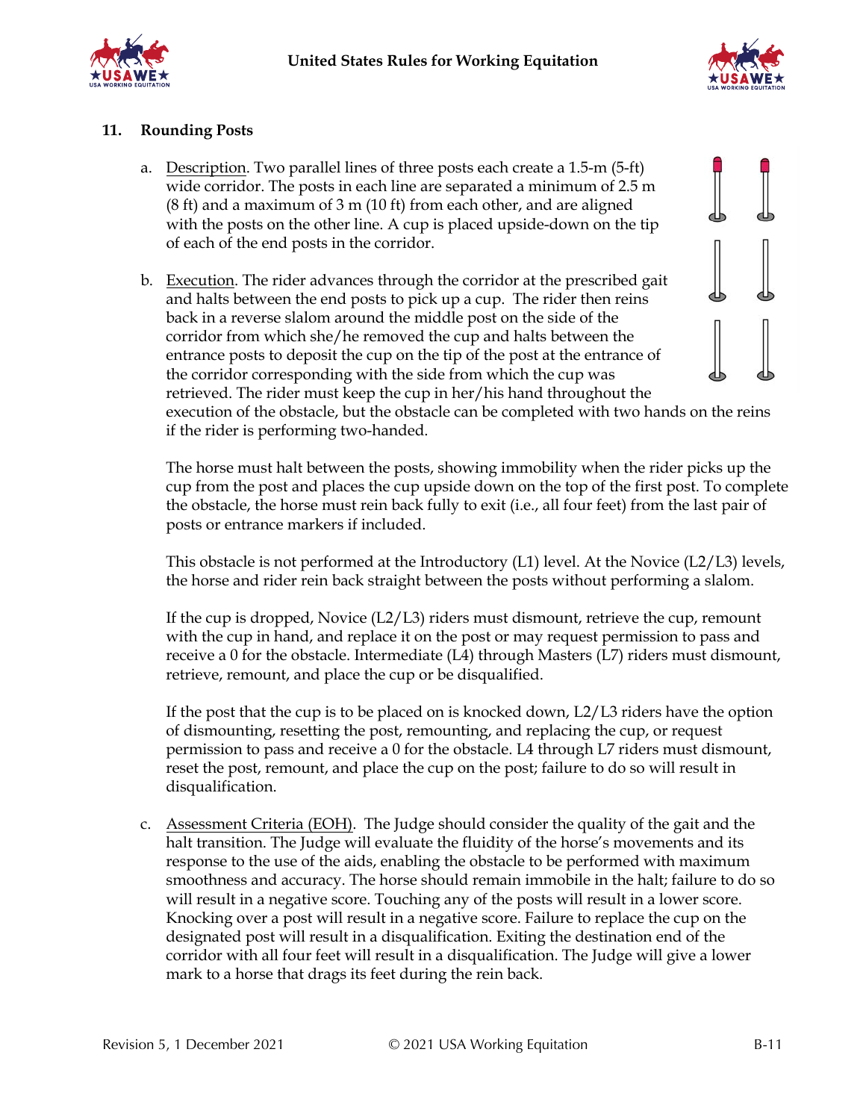



### **11. Rounding Posts**

- a. Description. Two parallel lines of three posts each create a 1.5-m (5-ft) wide corridor. The posts in each line are separated a minimum of 2.5 m (8 ft) and a maximum of 3 m (10 ft) from each other, and are aligned with the posts on the other line. A cup is placed upside-down on the tip of each of the end posts in the corridor.
- b. Execution. The rider advances through the corridor at the prescribed gait and halts between the end posts to pick up a cup. The rider then reins back in a reverse slalom around the middle post on the side of the corridor from which she/he removed the cup and halts between the entrance posts to deposit the cup on the tip of the post at the entrance of the corridor corresponding with the side from which the cup was retrieved. The rider must keep the cup in her/his hand throughout the execution of the obstacle, but the obstacle can be completed with two hands on the reins if the rider is performing two-handed.

The horse must halt between the posts, showing immobility when the rider picks up the cup from the post and places the cup upside down on the top of the first post. To complete the obstacle, the horse must rein back fully to exit (i.e., all four feet) from the last pair of posts or entrance markers if included.

This obstacle is not performed at the Introductory (L1) level. At the Novice (L2/L3) levels, the horse and rider rein back straight between the posts without performing a slalom.

If the cup is dropped, Novice  $(L2/L3)$  riders must dismount, retrieve the cup, remount with the cup in hand, and replace it on the post or may request permission to pass and receive a 0 for the obstacle. Intermediate (L4) through Masters (L7) riders must dismount, retrieve, remount, and place the cup or be disqualified.

If the post that the cup is to be placed on is knocked down, L2/L3 riders have the option of dismounting, resetting the post, remounting, and replacing the cup, or request permission to pass and receive a 0 for the obstacle. L4 through L7 riders must dismount, reset the post, remount, and place the cup on the post; failure to do so will result in disqualification.

c. Assessment Criteria (EOH). The Judge should consider the quality of the gait and the halt transition. The Judge will evaluate the fluidity of the horse's movements and its response to the use of the aids, enabling the obstacle to be performed with maximum smoothness and accuracy. The horse should remain immobile in the halt; failure to do so will result in a negative score. Touching any of the posts will result in a lower score. Knocking over a post will result in a negative score. Failure to replace the cup on the designated post will result in a disqualification. Exiting the destination end of the corridor with all four feet will result in a disqualification. The Judge will give a lower mark to a horse that drags its feet during the rein back.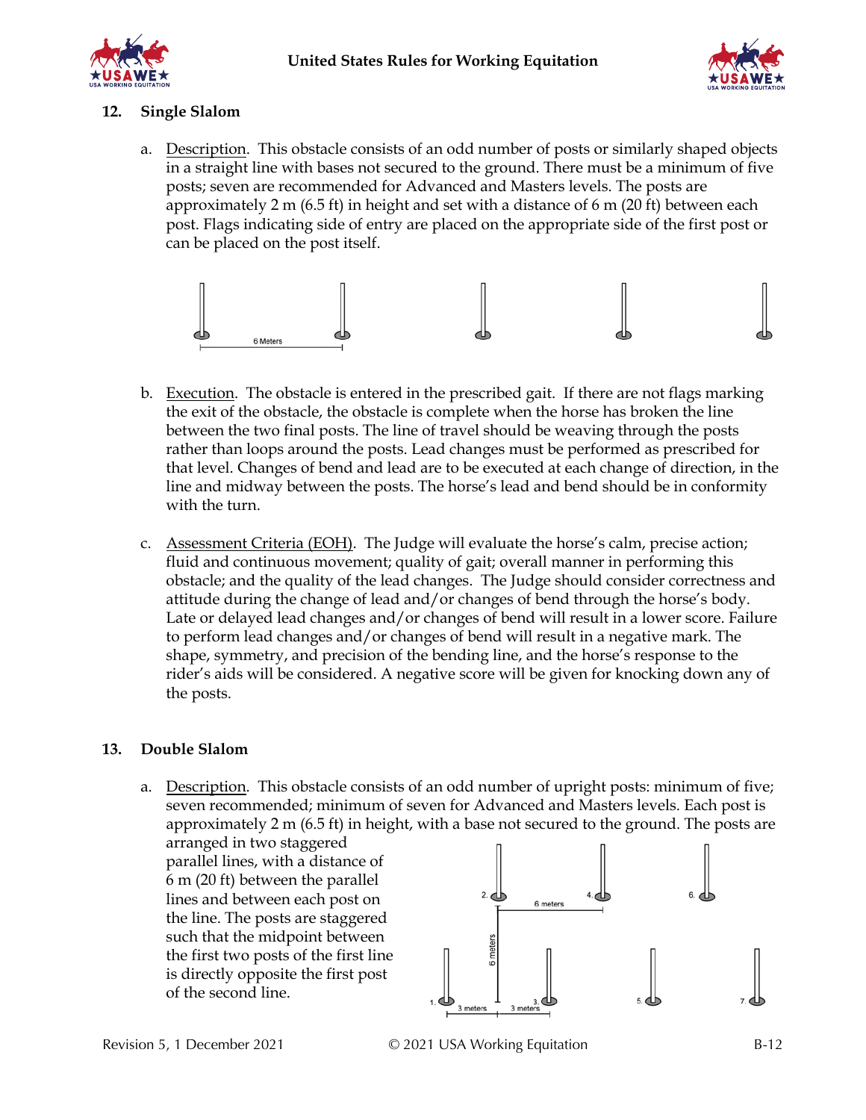



### **12. Single Slalom**

a. Description. This obstacle consists of an odd number of posts or similarly shaped objects in a straight line with bases not secured to the ground. There must be a minimum of five posts; seven are recommended for Advanced and Masters levels. The posts are approximately 2 m (6.5 ft) in height and set with a distance of 6 m (20 ft) between each post. Flags indicating side of entry are placed on the appropriate side of the first post or can be placed on the post itself.



- b. Execution. The obstacle is entered in the prescribed gait. If there are not flags marking the exit of the obstacle, the obstacle is complete when the horse has broken the line between the two final posts. The line of travel should be weaving through the posts rather than loops around the posts. Lead changes must be performed as prescribed for that level. Changes of bend and lead are to be executed at each change of direction, in the line and midway between the posts. The horse's lead and bend should be in conformity with the turn.
- c. Assessment Criteria (EOH). The Judge will evaluate the horse's calm, precise action; fluid and continuous movement; quality of gait; overall manner in performing this obstacle; and the quality of the lead changes. The Judge should consider correctness and attitude during the change of lead and/or changes of bend through the horse's body. Late or delayed lead changes and/or changes of bend will result in a lower score. Failure to perform lead changes and/or changes of bend will result in a negative mark. The shape, symmetry, and precision of the bending line, and the horse's response to the rider's aids will be considered. A negative score will be given for knocking down any of the posts.

### **13. Double Slalom**

a. Description. This obstacle consists of an odd number of upright posts: minimum of five; seven recommended; minimum of seven for Advanced and Masters levels. Each post is approximately 2 m (6.5 ft) in height, with a base not secured to the ground. The posts are

arranged in two staggered parallel lines, with a distance of 6 m (20 ft) between the parallel lines and between each post on the line. The posts are staggered such that the midpoint between the first two posts of the first line is directly opposite the first post of the second line.

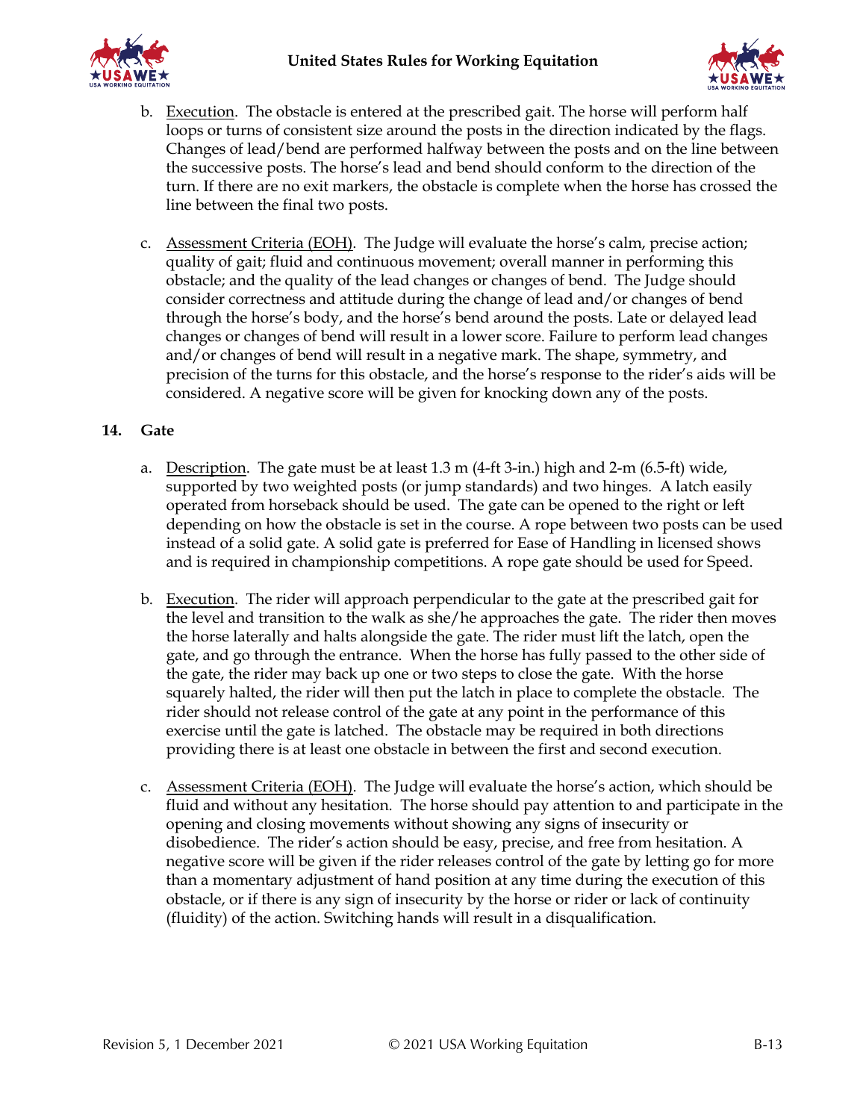



- b. Execution. The obstacle is entered at the prescribed gait. The horse will perform half loops or turns of consistent size around the posts in the direction indicated by the flags. Changes of lead/bend are performed halfway between the posts and on the line between the successive posts. The horse's lead and bend should conform to the direction of the turn. If there are no exit markers, the obstacle is complete when the horse has crossed the line between the final two posts.
- c. Assessment Criteria (EOH). The Judge will evaluate the horse's calm, precise action; quality of gait; fluid and continuous movement; overall manner in performing this obstacle; and the quality of the lead changes or changes of bend. The Judge should consider correctness and attitude during the change of lead and/or changes of bend through the horse's body, and the horse's bend around the posts. Late or delayed lead changes or changes of bend will result in a lower score. Failure to perform lead changes and/or changes of bend will result in a negative mark. The shape, symmetry, and precision of the turns for this obstacle, and the horse's response to the rider's aids will be considered. A negative score will be given for knocking down any of the posts.

### **14. Gate**

- a. Description. The gate must be at least  $1.3$  m (4-ft  $3$ -in.) high and  $2$ -m (6.5-ft) wide, supported by two weighted posts (or jump standards) and two hinges. A latch easily operated from horseback should be used. The gate can be opened to the right or left depending on how the obstacle is set in the course. A rope between two posts can be used instead of a solid gate. A solid gate is preferred for Ease of Handling in licensed shows and is required in championship competitions. A rope gate should be used for Speed.
- b. Execution. The rider will approach perpendicular to the gate at the prescribed gait for the level and transition to the walk as she/he approaches the gate. The rider then moves the horse laterally and halts alongside the gate. The rider must lift the latch, open the gate, and go through the entrance. When the horse has fully passed to the other side of the gate, the rider may back up one or two steps to close the gate. With the horse squarely halted, the rider will then put the latch in place to complete the obstacle. The rider should not release control of the gate at any point in the performance of this exercise until the gate is latched. The obstacle may be required in both directions providing there is at least one obstacle in between the first and second execution.
- c. Assessment Criteria (EOH). The Judge will evaluate the horse's action, which should be fluid and without any hesitation. The horse should pay attention to and participate in the opening and closing movements without showing any signs of insecurity or disobedience. The rider's action should be easy, precise, and free from hesitation. A negative score will be given if the rider releases control of the gate by letting go for more than a momentary adjustment of hand position at any time during the execution of this obstacle, or if there is any sign of insecurity by the horse or rider or lack of continuity (fluidity) of the action. Switching hands will result in a disqualification.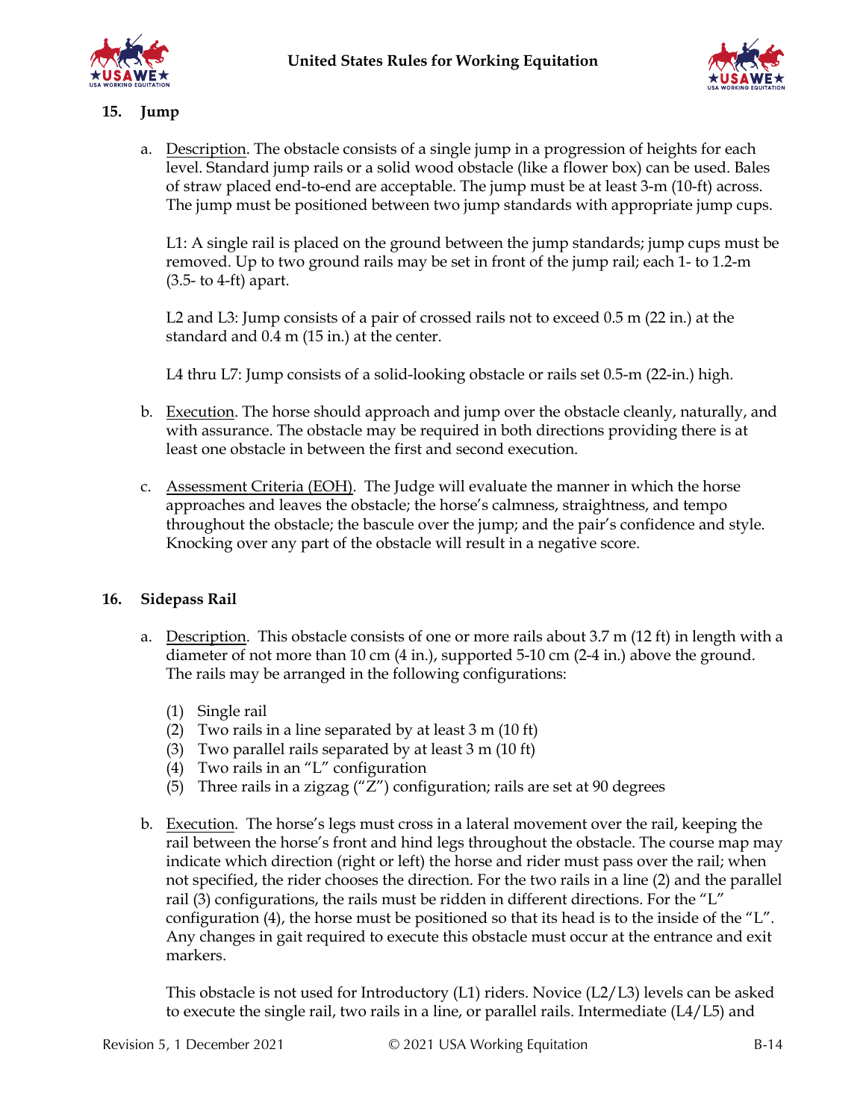



### **15. Jump**

a. Description. The obstacle consists of a single jump in a progression of heights for each level. Standard jump rails or a solid wood obstacle (like a flower box) can be used. Bales of straw placed end-to-end are acceptable. The jump must be at least 3-m (10-ft) across. The jump must be positioned between two jump standards with appropriate jump cups.

L1: A single rail is placed on the ground between the jump standards; jump cups must be removed. Up to two ground rails may be set in front of the jump rail; each 1- to 1.2-m (3.5- to 4-ft) apart.

L2 and L3: Jump consists of a pair of crossed rails not to exceed 0.5 m (22 in.) at the standard and 0.4 m (15 in.) at the center.

L4 thru L7: Jump consists of a solid-looking obstacle or rails set 0.5-m (22-in.) high.

- b. Execution. The horse should approach and jump over the obstacle cleanly, naturally, and with assurance. The obstacle may be required in both directions providing there is at least one obstacle in between the first and second execution.
- c. Assessment Criteria (EOH). The Judge will evaluate the manner in which the horse approaches and leaves the obstacle; the horse's calmness, straightness, and tempo throughout the obstacle; the bascule over the jump; and the pair's confidence and style. Knocking over any part of the obstacle will result in a negative score.

### **16. Sidepass Rail**

- a. Description. This obstacle consists of one or more rails about 3.7 m (12 ft) in length with a diameter of not more than 10 cm (4 in.), supported 5-10 cm (2-4 in.) above the ground. The rails may be arranged in the following configurations:
	- (1) Single rail
	- (2) Two rails in a line separated by at least 3 m (10 ft)
	- (3) Two parallel rails separated by at least 3 m (10 ft)
	- (4) Two rails in an "L" configuration
	- (5) Three rails in a zigzag (" $\overline{Z}$ ") configuration; rails are set at 90 degrees
- b. Execution. The horse's legs must cross in a lateral movement over the rail, keeping the rail between the horse's front and hind legs throughout the obstacle. The course map may indicate which direction (right or left) the horse and rider must pass over the rail; when not specified, the rider chooses the direction. For the two rails in a line (2) and the parallel rail (3) configurations, the rails must be ridden in different directions. For the "L" configuration (4), the horse must be positioned so that its head is to the inside of the "L". Any changes in gait required to execute this obstacle must occur at the entrance and exit markers.

This obstacle is not used for Introductory (L1) riders. Novice (L2/L3) levels can be asked to execute the single rail, two rails in a line, or parallel rails. Intermediate (L4/L5) and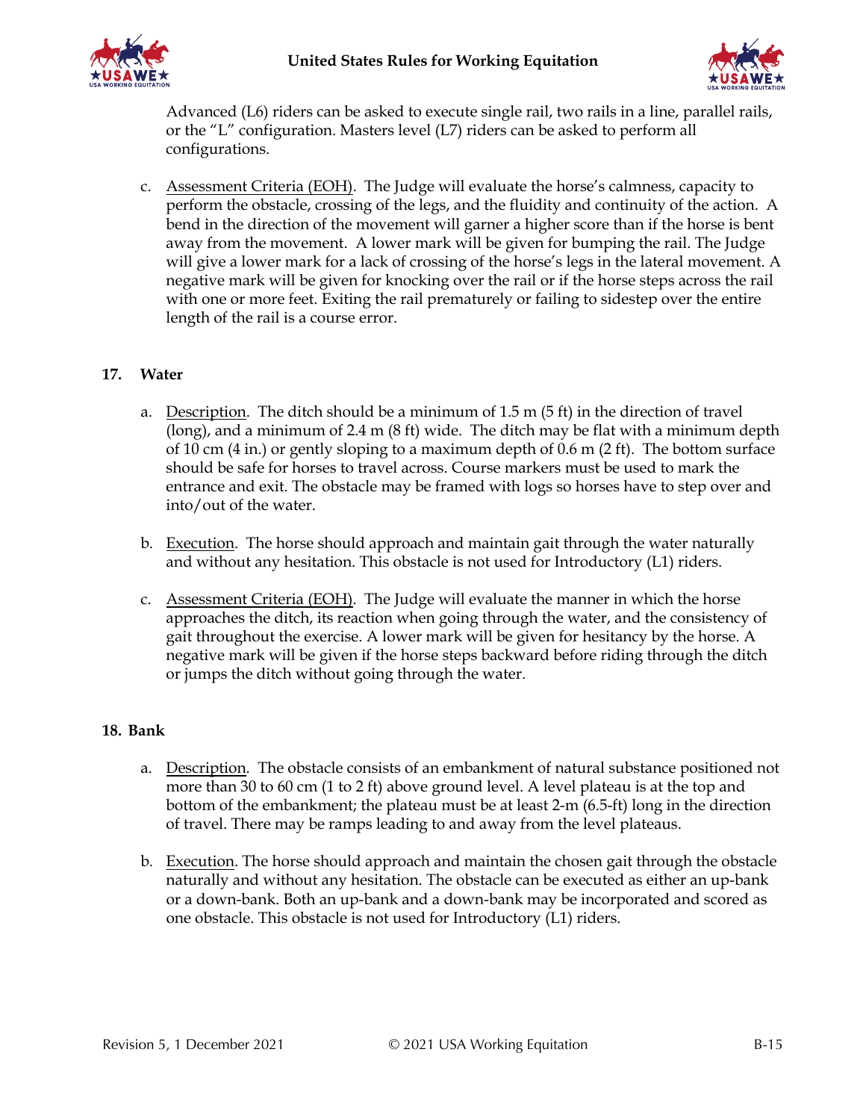



Advanced (L6) riders can be asked to execute single rail, two rails in a line, parallel rails, or the "L" configuration. Masters level (L7) riders can be asked to perform all configurations.

c. Assessment Criteria (EOH). The Judge will evaluate the horse's calmness, capacity to perform the obstacle, crossing of the legs, and the fluidity and continuity of the action. A bend in the direction of the movement will garner a higher score than if the horse is bent away from the movement. A lower mark will be given for bumping the rail. The Judge will give a lower mark for a lack of crossing of the horse's legs in the lateral movement. A negative mark will be given for knocking over the rail or if the horse steps across the rail with one or more feet. Exiting the rail prematurely or failing to sidestep over the entire length of the rail is a course error.

### **17. Water**

- a. Description. The ditch should be a minimum of 1.5 m (5 ft) in the direction of travel (long), and a minimum of 2.4 m (8 ft) wide. The ditch may be flat with a minimum depth of 10 cm (4 in.) or gently sloping to a maximum depth of 0.6 m (2 ft). The bottom surface should be safe for horses to travel across. Course markers must be used to mark the entrance and exit. The obstacle may be framed with logs so horses have to step over and into/out of the water.
- b. Execution. The horse should approach and maintain gait through the water naturally and without any hesitation. This obstacle is not used for Introductory (L1) riders.
- c. Assessment Criteria (EOH). The Judge will evaluate the manner in which the horse approaches the ditch, its reaction when going through the water, and the consistency of gait throughout the exercise. A lower mark will be given for hesitancy by the horse. A negative mark will be given if the horse steps backward before riding through the ditch or jumps the ditch without going through the water.

### **18. Bank**

- a. Description. The obstacle consists of an embankment of natural substance positioned not more than 30 to 60 cm (1 to 2 ft) above ground level. A level plateau is at the top and bottom of the embankment; the plateau must be at least 2-m (6.5-ft) long in the direction of travel. There may be ramps leading to and away from the level plateaus.
- b. Execution. The horse should approach and maintain the chosen gait through the obstacle naturally and without any hesitation. The obstacle can be executed as either an up-bank or a down-bank. Both an up-bank and a down-bank may be incorporated and scored as one obstacle. This obstacle is not used for Introductory (L1) riders.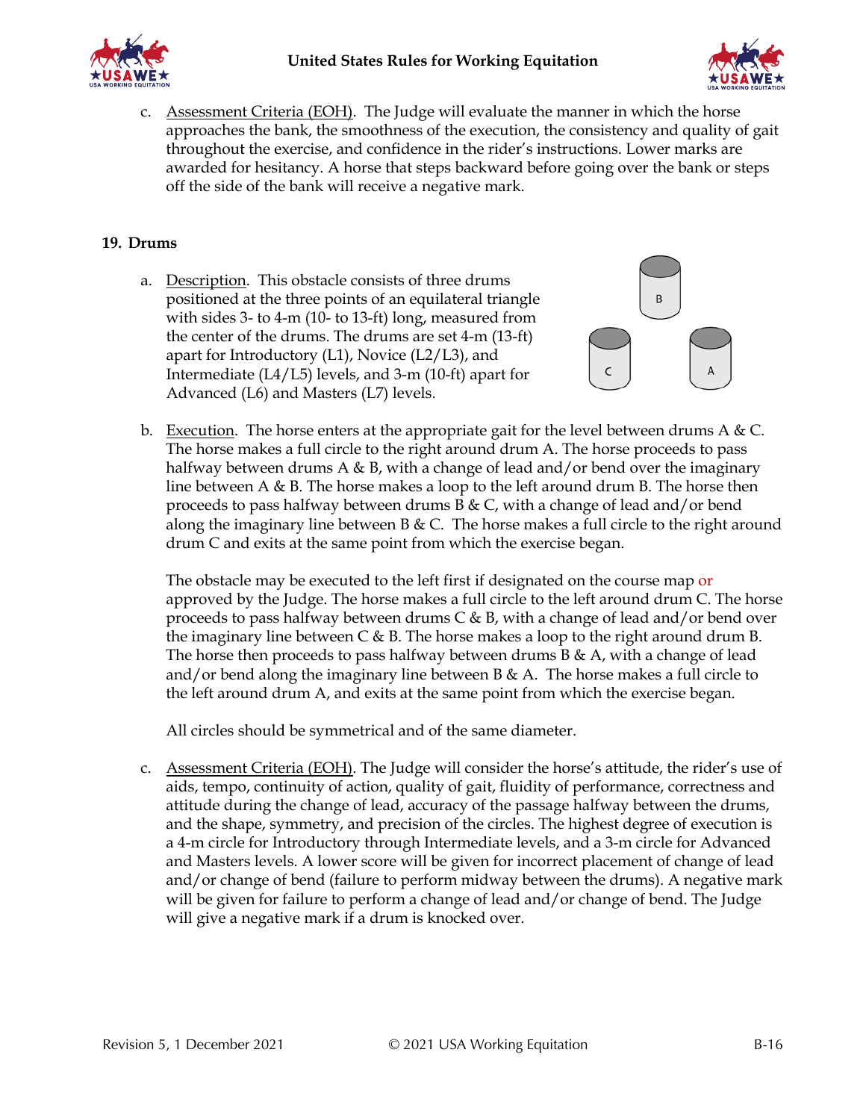



c. Assessment Criteria (EOH). The Judge will evaluate the manner in which the horse approaches the bank, the smoothness of the execution, the consistency and quality of gait throughout the exercise, and confidence in the rider's instructions. Lower marks are awarded for hesitancy. A horse that steps backward before going over the bank or steps off the side of the bank will receive a negative mark.

### **19. Drums**

a. Description. This obstacle consists of three drums positioned at the three points of an equilateral triangle with sides 3- to 4-m (10- to 13-ft) long, measured from the center of the drums. The drums are set 4-m (13-ft) apart for Introductory  $(L1)$ , Novice  $(L2/L3)$ , and Intermediate (L4/L5) levels, and 3-m (10-ft) apart for Advanced (L6) and Masters (L7) levels.



b. Execution. The horse enters at the appropriate gait for the level between drums  $A & C$ . The horse makes a full circle to the right around drum A. The horse proceeds to pass halfway between drums A & B, with a change of lead and/or bend over the imaginary line between A  $\&$  B. The horse makes a loop to the left around drum B. The horse then proceeds to pass halfway between drums B & C, with a change of lead and/or bend along the imaginary line between B & C. The horse makes a full circle to the right around drum C and exits at the same point from which the exercise began.

The obstacle may be executed to the left first if designated on the course map or approved by the Judge. The horse makes a full circle to the left around drum C. The horse proceeds to pass halfway between drums  $C & B$ , with a change of lead and/or bend over the imaginary line between  $C \& B$ . The horse makes a loop to the right around drum B. The horse then proceeds to pass halfway between drums  $B \& A$ , with a change of lead and/or bend along the imaginary line between  $B \& A$ . The horse makes a full circle to the left around drum A, and exits at the same point from which the exercise began.

All circles should be symmetrical and of the same diameter.

c. Assessment Criteria (EOH). The Judge will consider the horse's attitude, the rider's use of aids, tempo, continuity of action, quality of gait, fluidity of performance, correctness and attitude during the change of lead, accuracy of the passage halfway between the drums, and the shape, symmetry, and precision of the circles. The highest degree of execution is a 4-m circle for Introductory through Intermediate levels, and a 3-m circle for Advanced and Masters levels. A lower score will be given for incorrect placement of change of lead and/or change of bend (failure to perform midway between the drums). A negative mark will be given for failure to perform a change of lead and/or change of bend. The Judge will give a negative mark if a drum is knocked over.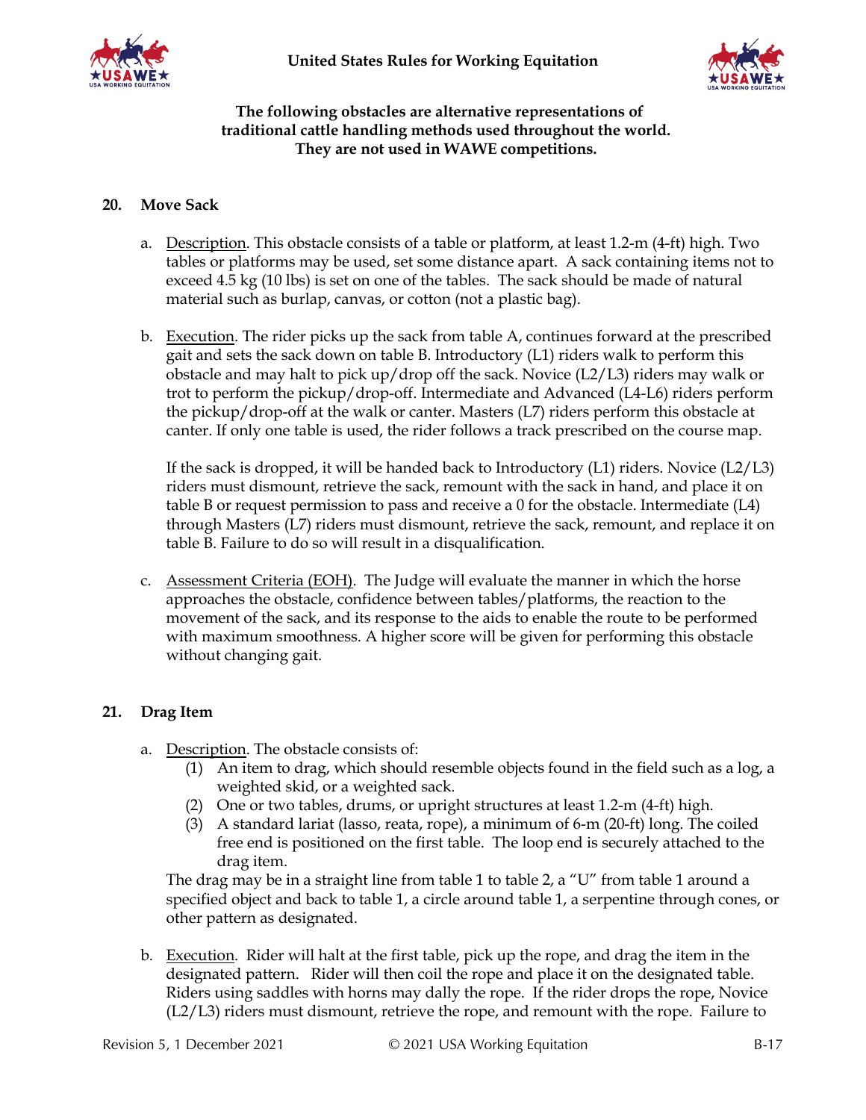



### **The following obstacles are alternative representations of traditional cattle handling methods used throughout the world. They are not used in WAWE competitions.**

### **20. Move Sack**

- a. Description. This obstacle consists of a table or platform, at least 1.2-m (4-ft) high. Two tables or platforms may be used, set some distance apart. A sack containing items not to exceed 4.5 kg (10 lbs) is set on one of the tables. The sack should be made of natural material such as burlap, canvas, or cotton (not a plastic bag).
- b. Execution. The rider picks up the sack from table A, continues forward at the prescribed gait and sets the sack down on table B. Introductory (L1) riders walk to perform this obstacle and may halt to pick up/drop off the sack. Novice (L2/L3) riders may walk or trot to perform the pickup/drop-off. Intermediate and Advanced (L4-L6) riders perform the pickup/drop-off at the walk or canter. Masters (L7) riders perform this obstacle at canter. If only one table is used, the rider follows a track prescribed on the course map.

If the sack is dropped, it will be handed back to Introductory (L1) riders. Novice (L2/L3) riders must dismount, retrieve the sack, remount with the sack in hand, and place it on table B or request permission to pass and receive a 0 for the obstacle. Intermediate (L4) through Masters (L7) riders must dismount, retrieve the sack, remount, and replace it on table B. Failure to do so will result in a disqualification.

c. Assessment Criteria (EOH). The Judge will evaluate the manner in which the horse approaches the obstacle, confidence between tables/platforms, the reaction to the movement of the sack, and its response to the aids to enable the route to be performed with maximum smoothness. A higher score will be given for performing this obstacle without changing gait.

### **21. Drag Item**

- a. Description. The obstacle consists of:
	- (1) An item to drag, which should resemble objects found in the field such as a log, a weighted skid, or a weighted sack.
	- (2) One or two tables, drums, or upright structures at least 1.2-m (4-ft) high.
	- (3) A standard lariat (lasso, reata, rope), a minimum of 6-m (20-ft) long. The coiled free end is positioned on the first table. The loop end is securely attached to the drag item.

The drag may be in a straight line from table 1 to table 2, a "U" from table 1 around a specified object and back to table 1, a circle around table 1, a serpentine through cones, or other pattern as designated.

b. Execution. Rider will halt at the first table, pick up the rope, and drag the item in the designated pattern. Rider will then coil the rope and place it on the designated table. Riders using saddles with horns may dally the rope. If the rider drops the rope, Novice (L2/L3) riders must dismount, retrieve the rope, and remount with the rope. Failure to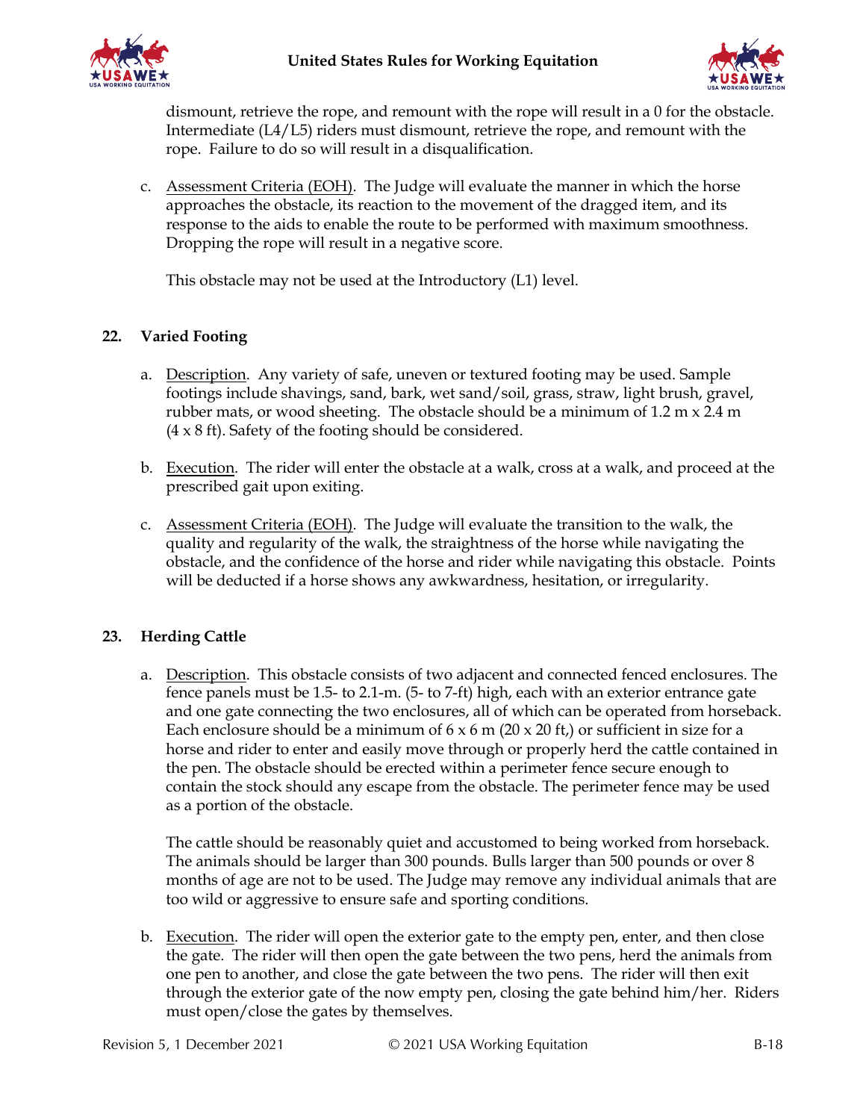



dismount, retrieve the rope, and remount with the rope will result in a 0 for the obstacle. Intermediate (L4/L5) riders must dismount, retrieve the rope, and remount with the rope. Failure to do so will result in a disqualification.

c. Assessment Criteria (EOH). The Judge will evaluate the manner in which the horse approaches the obstacle, its reaction to the movement of the dragged item, and its response to the aids to enable the route to be performed with maximum smoothness. Dropping the rope will result in a negative score.

This obstacle may not be used at the Introductory (L1) level.

### **22. Varied Footing**

- a. Description. Any variety of safe, uneven or textured footing may be used. Sample footings include shavings, sand, bark, wet sand/soil, grass, straw, light brush, gravel, rubber mats, or wood sheeting. The obstacle should be a minimum of 1.2 m x 2.4 m  $(4 \times 8 \text{ ft})$ . Safety of the footing should be considered.
- b. Execution. The rider will enter the obstacle at a walk, cross at a walk, and proceed at the prescribed gait upon exiting.
- c. Assessment Criteria (EOH). The Judge will evaluate the transition to the walk, the quality and regularity of the walk, the straightness of the horse while navigating the obstacle, and the confidence of the horse and rider while navigating this obstacle. Points will be deducted if a horse shows any awkwardness, hesitation, or irregularity.

### **23. Herding Cattle**

a. Description. This obstacle consists of two adjacent and connected fenced enclosures. The fence panels must be 1.5- to 2.1-m. (5- to 7-ft) high, each with an exterior entrance gate and one gate connecting the two enclosures, all of which can be operated from horseback. Each enclosure should be a minimum of  $6 \times 6$  m (20  $\times$  20 ft,) or sufficient in size for a horse and rider to enter and easily move through or properly herd the cattle contained in the pen. The obstacle should be erected within a perimeter fence secure enough to contain the stock should any escape from the obstacle. The perimeter fence may be used as a portion of the obstacle.

The cattle should be reasonably quiet and accustomed to being worked from horseback. The animals should be larger than 300 pounds. Bulls larger than 500 pounds or over 8 months of age are not to be used. The Judge may remove any individual animals that are too wild or aggressive to ensure safe and sporting conditions.

b. Execution. The rider will open the exterior gate to the empty pen, enter, and then close the gate. The rider will then open the gate between the two pens, herd the animals from one pen to another, and close the gate between the two pens. The rider will then exit through the exterior gate of the now empty pen, closing the gate behind him/her. Riders must open/close the gates by themselves.